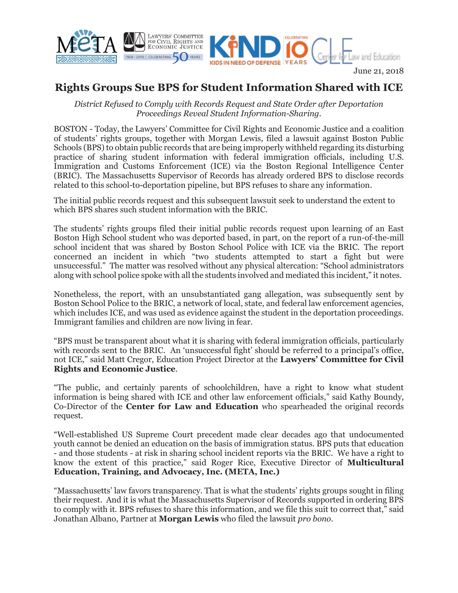



## June 21, 2018

## **Rights Groups Sue BPS for Student Information Shared with ICE**

*District Refused to Comply with Records Request and State Order after Deportation Proceedings Reveal Student Information-Sharing.*

BOSTON - Today, the Lawyers' Committee for Civil Rights and Economic Justice and a coalition of students' rights groups, together with Morgan Lewis, filed a lawsuit against Boston Public Schools (BPS) to obtain public records that are being improperly withheld regarding its disturbing practice of sharing student information with federal immigration officials, including U.S. Immigration and Customs Enforcement (ICE) via the Boston Regional Intelligence Center (BRIC). The Massachusetts Supervisor of Records has already ordered BPS to disclose records related to this school-to-deportation pipeline, but BPS refuses to share any information.

The initial public records request and this subsequent lawsuit seek to understand the extent to which BPS shares such student information with the BRIC.

The students' rights groups filed their initial public records request upon learning of an East Boston High School student who was deported based, in part, on the report of a run-of-the-mill school incident that was shared by Boston School Police with ICE via the BRIC. The report concerned an incident in which "two students attempted to start a fight but were unsuccessful." The matter was resolved without any physical altercation: "School administrators along with school police spoke with all the students involved and mediated this incident," it notes.

Nonetheless, the report, with an unsubstantiated gang allegation, was subsequently sent by Boston School Police to the BRIC, a network of local, state, and federal law enforcement agencies, which includes ICE, and was used as evidence against the student in the deportation proceedings. Immigrant families and children are now living in fear.

"BPS must be transparent about what it is sharing with federal immigration officials, particularly with records sent to the BRIC. An 'unsuccessful fight' should be referred to a principal's office, not ICE," said Matt Cregor, Education Project Director at the **Lawyers' Committee for Civil Rights and Economic Justice**.

"The public, and certainly parents of schoolchildren, have a right to know what student information is being shared with ICE and other law enforcement officials," said Kathy Boundy, Co-Director of the **Center for Law and Education** who spearheaded the original records request.

"Well-established US Supreme Court precedent made clear decades ago that undocumented youth cannot be denied an education on the basis of immigration status. BPS puts that education - and those students - at risk in sharing school incident reports via the BRIC. We have a right to know the extent of this practice," said Roger Rice, Executive Director of **Multicultural Education, Training, and Advocacy, Inc. (META, Inc.)**

"Massachusetts' law favors transparency. That is what the students' rights groups sought in filing their request. And it is what the Massachusetts Supervisor of Records supported in ordering BPS to comply with it. BPS refuses to share this information, and we file this suit to correct that," said Jonathan Albano, Partner at **Morgan Lewis** who filed the lawsuit *pro bono*.